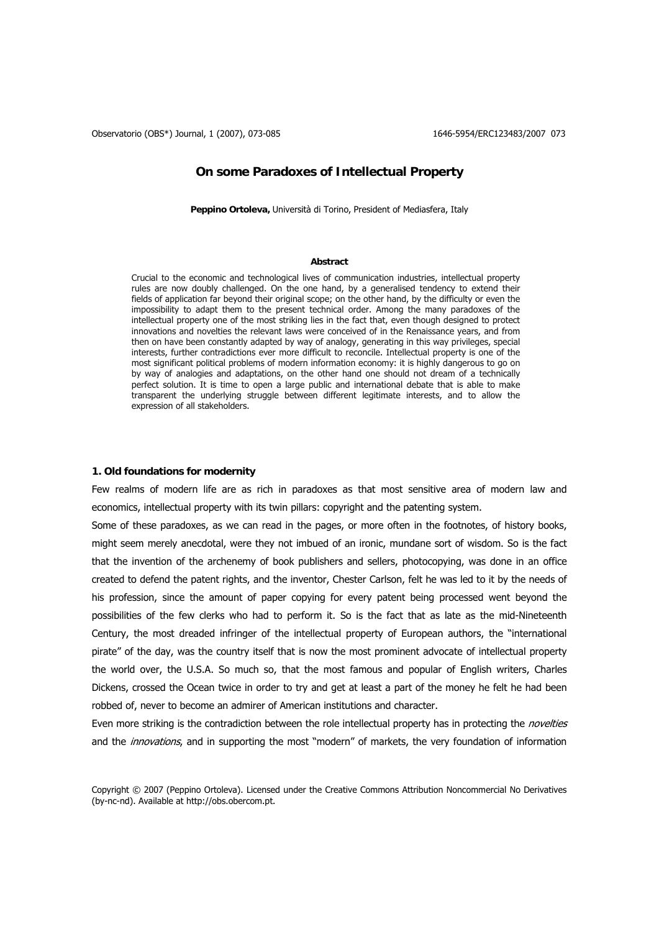Observatorio (OBS\*) Journal, 1 (2007), 073-085 1646-5954/ERC123483/2007 073

# **On some Paradoxes of Intellectual Property**

**Peppino Ortoleva,** Università di Torino, President of Mediasfera, Italy

### **Abstract**

Crucial to the economic and technological lives of communication industries, intellectual property rules are now doubly challenged. On the one hand, by a generalised tendency to extend their fields of application far beyond their original scope; on the other hand, by the difficulty or even the impossibility to adapt them to the present technical order. Among the many paradoxes of the intellectual property one of the most striking lies in the fact that, even though designed to protect innovations and novelties the relevant laws were conceived of in the Renaissance years, and from then on have been constantly adapted by way of analogy, generating in this way privileges, special interests, further contradictions ever more difficult to reconcile. Intellectual property is one of the most significant political problems of modern information economy: it is highly dangerous to go on by way of analogies and adaptations, on the other hand one should not dream of a technically perfect solution. It is time to open a large public and international debate that is able to make transparent the underlying struggle between different legitimate interests, and to allow the expression of all stakeholders.

## **1. Old foundations for modernity**

Few realms of modern life are as rich in paradoxes as that most sensitive area of modern law and economics, intellectual property with its twin pillars: copyright and the patenting system.

Some of these paradoxes, as we can read in the pages, or more often in the footnotes, of history books, might seem merely anecdotal, were they not imbued of an ironic, mundane sort of wisdom. So is the fact that the invention of the archenemy of book publishers and sellers, photocopying, was done in an office created to defend the patent rights, and the inventor, Chester Carlson, felt he was led to it by the needs of his profession, since the amount of paper copying for every patent being processed went beyond the possibilities of the few clerks who had to perform it. So is the fact that as late as the mid-Nineteenth Century, the most dreaded infringer of the intellectual property of European authors, the "international pirate" of the day, was the country itself that is now the most prominent advocate of intellectual property the world over, the U.S.A. So much so, that the most famous and popular of English writers, Charles Dickens, crossed the Ocean twice in order to try and get at least a part of the money he felt he had been robbed of, never to become an admirer of American institutions and character.

Even more striking is the contradiction between the role intellectual property has in protecting the *novelties* and the *innovations*, and in supporting the most "modern" of markets, the very foundation of information

Copyright © 2007 (Peppino Ortoleva). Licensed under the Creative Commons Attribution Noncommercial No Derivatives (by-nc-nd). Available at http://obs.obercom.pt.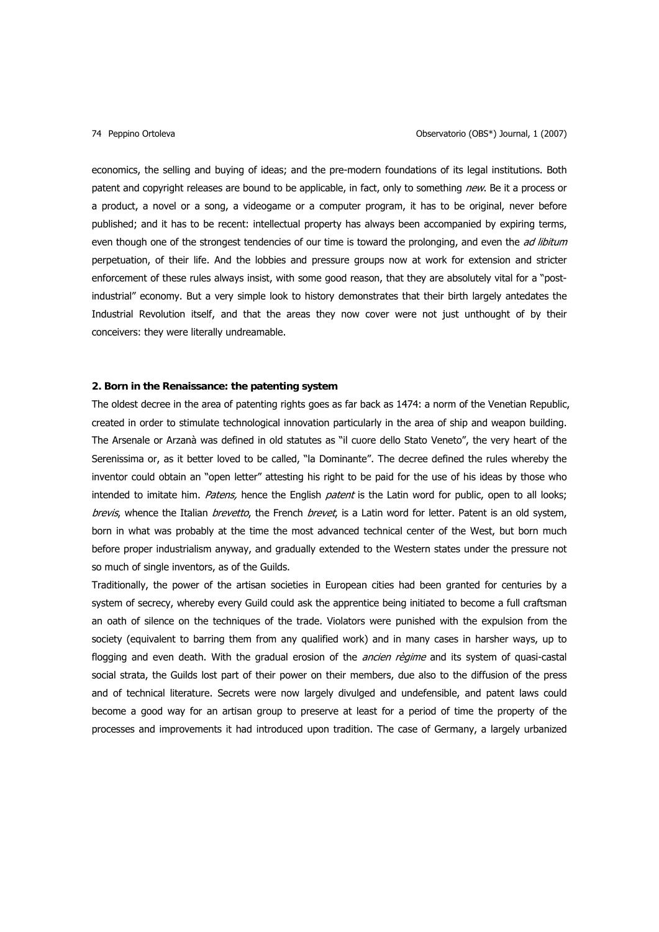economics, the selling and buying of ideas; and the pre-modern foundations of its legal institutions. Both patent and copyright releases are bound to be applicable, in fact, only to something new. Be it a process or a product, a novel or a song, a videogame or a computer program, it has to be original, never before published; and it has to be recent: intellectual property has always been accompanied by expiring terms, even though one of the strongest tendencies of our time is toward the prolonging, and even the *ad libitum* perpetuation, of their life. And the lobbies and pressure groups now at work for extension and stricter enforcement of these rules always insist, with some good reason, that they are absolutely vital for a "postindustrial" economy. But a very simple look to history demonstrates that their birth largely antedates the Industrial Revolution itself, and that the areas they now cover were not just unthought of by their conceivers: they were literally undreamable.

## **2. Born in the Renaissance: the patenting system**

The oldest decree in the area of patenting rights goes as far back as 1474: a norm of the Venetian Republic, created in order to stimulate technological innovation particularly in the area of ship and weapon building. The Arsenale or Arzanà was defined in old statutes as "il cuore dello Stato Veneto", the very heart of the Serenissima or, as it better loved to be called, "la Dominante". The decree defined the rules whereby the inventor could obtain an "open letter" attesting his right to be paid for the use of his ideas by those who intended to imitate him. Patens, hence the English patent is the Latin word for public, open to all looks; brevis, whence the Italian *brevetto*, the French *brevet*, is a Latin word for letter. Patent is an old system, born in what was probably at the time the most advanced technical center of the West, but born much before proper industrialism anyway, and gradually extended to the Western states under the pressure not so much of single inventors, as of the Guilds.

Traditionally, the power of the artisan societies in European cities had been granted for centuries by a system of secrecy, whereby every Guild could ask the apprentice being initiated to become a full craftsman an oath of silence on the techniques of the trade. Violators were punished with the expulsion from the society (equivalent to barring them from any qualified work) and in many cases in harsher ways, up to flogging and even death. With the gradual erosion of the *ancien règime* and its system of quasi-castal social strata, the Guilds lost part of their power on their members, due also to the diffusion of the press and of technical literature. Secrets were now largely divulged and undefensible, and patent laws could become a good way for an artisan group to preserve at least for a period of time the property of the processes and improvements it had introduced upon tradition. The case of Germany, a largely urbanized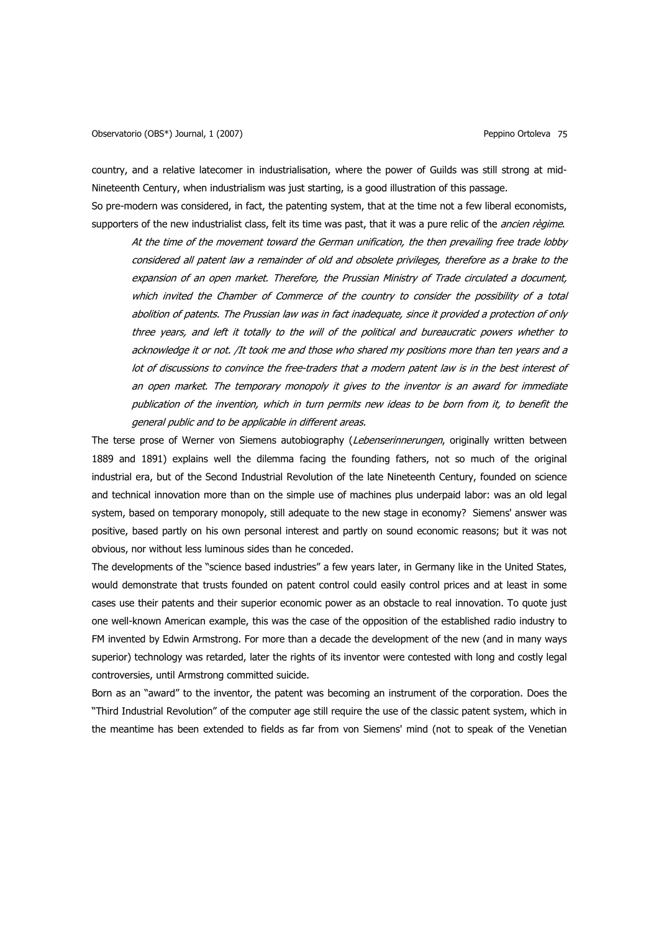country, and a relative latecomer in industrialisation, where the power of Guilds was still strong at mid-Nineteenth Century, when industrialism was just starting, is a good illustration of this passage.

So pre-modern was considered, in fact, the patenting system, that at the time not a few liberal economists, supporters of the new industrialist class, felt its time was past, that it was a pure relic of the *ancien règime*.

At the time of the movement toward the German unification, the then prevailing free trade lobby considered all patent law a remainder of old and obsolete privileges, therefore as a brake to the expansion of an open market. Therefore, the Prussian Ministry of Trade circulated a document, which invited the Chamber of Commerce of the country to consider the possibility of a total abolition of patents. The Prussian law was in fact inadequate, since it provided a protection of only three years, and left it totally to the will of the political and bureaucratic powers whether to acknowledge it or not. /It took me and those who shared my positions more than ten years and a lot of discussions to convince the free-traders that a modern patent law is in the best interest of an open market. The temporary monopoly it gives to the inventor is an award for immediate publication of the invention, which in turn permits new ideas to be born from it, to benefit the general public and to be applicable in different areas.

The terse prose of Werner von Siemens autobiography (Lebenserinnerungen, originally written between 1889 and 1891) explains well the dilemma facing the founding fathers, not so much of the original industrial era, but of the Second Industrial Revolution of the late Nineteenth Century, founded on science and technical innovation more than on the simple use of machines plus underpaid labor: was an old legal system, based on temporary monopoly, still adequate to the new stage in economy? Siemens' answer was positive, based partly on his own personal interest and partly on sound economic reasons; but it was not obvious, nor without less luminous sides than he conceded.

The developments of the "science based industries" a few years later, in Germany like in the United States, would demonstrate that trusts founded on patent control could easily control prices and at least in some cases use their patents and their superior economic power as an obstacle to real innovation. To quote just one well-known American example, this was the case of the opposition of the established radio industry to FM invented by Edwin Armstrong. For more than a decade the development of the new (and in many ways superior) technology was retarded, later the rights of its inventor were contested with long and costly legal controversies, until Armstrong committed suicide.

Born as an "award" to the inventor, the patent was becoming an instrument of the corporation. Does the "Third Industrial Revolution" of the computer age still require the use of the classic patent system, which in the meantime has been extended to fields as far from von Siemens' mind (not to speak of the Venetian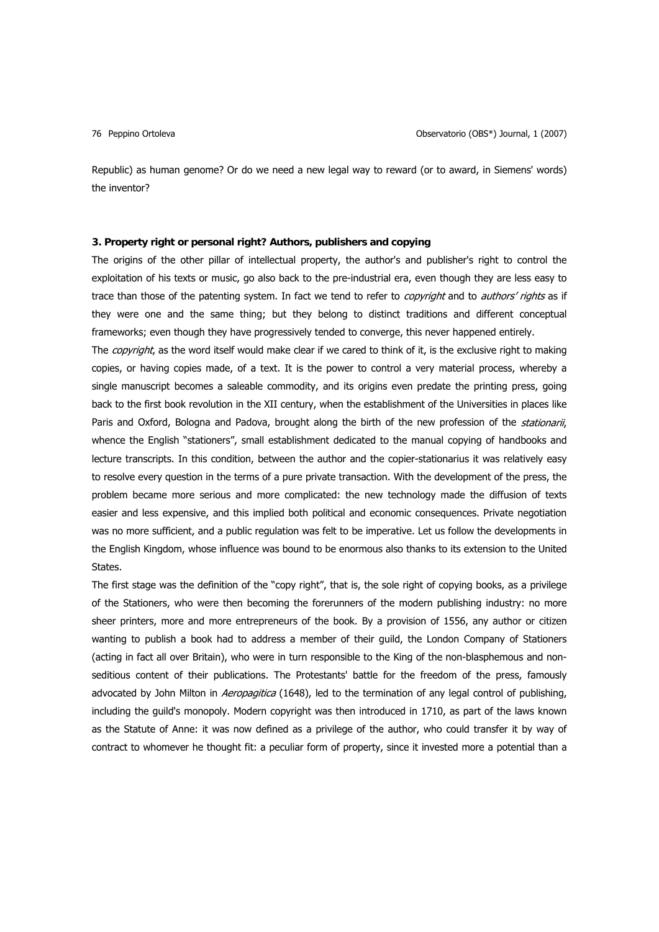Republic) as human genome? Or do we need a new legal way to reward (or to award, in Siemens' words) the inventor?

## **3. Property right or personal right? Authors, publishers and copying**

The origins of the other pillar of intellectual property, the author's and publisher's right to control the exploitation of his texts or music, go also back to the pre-industrial era, even though they are less easy to trace than those of the patenting system. In fact we tend to refer to *copyright* and to *authors' rights* as if they were one and the same thing; but they belong to distinct traditions and different conceptual frameworks; even though they have progressively tended to converge, this never happened entirely.

The *copyright*, as the word itself would make clear if we cared to think of it, is the exclusive right to making copies, or having copies made, of a text. It is the power to control a very material process, whereby a single manuscript becomes a saleable commodity, and its origins even predate the printing press, going back to the first book revolution in the XII century, when the establishment of the Universities in places like Paris and Oxford, Bologna and Padova, brought along the birth of the new profession of the *stationarii*, whence the English "stationers", small establishment dedicated to the manual copying of handbooks and lecture transcripts. In this condition, between the author and the copier-stationarius it was relatively easy to resolve every question in the terms of a pure private transaction. With the development of the press, the problem became more serious and more complicated: the new technology made the diffusion of texts easier and less expensive, and this implied both political and economic consequences. Private negotiation was no more sufficient, and a public regulation was felt to be imperative. Let us follow the developments in the English Kingdom, whose influence was bound to be enormous also thanks to its extension to the United States.

The first stage was the definition of the "copy right", that is, the sole right of copying books, as a privilege of the Stationers, who were then becoming the forerunners of the modern publishing industry: no more sheer printers, more and more entrepreneurs of the book. By a provision of 1556, any author or citizen wanting to publish a book had to address a member of their guild, the London Company of Stationers (acting in fact all over Britain), who were in turn responsible to the King of the non-blasphemous and nonseditious content of their publications. The Protestants' battle for the freedom of the press, famously advocated by John Milton in Aeropagitica (1648), led to the termination of any legal control of publishing, including the guild's monopoly. Modern copyright was then introduced in 1710, as part of the laws known as the Statute of Anne: it was now defined as a privilege of the author, who could transfer it by way of contract to whomever he thought fit: a peculiar form of property, since it invested more a potential than a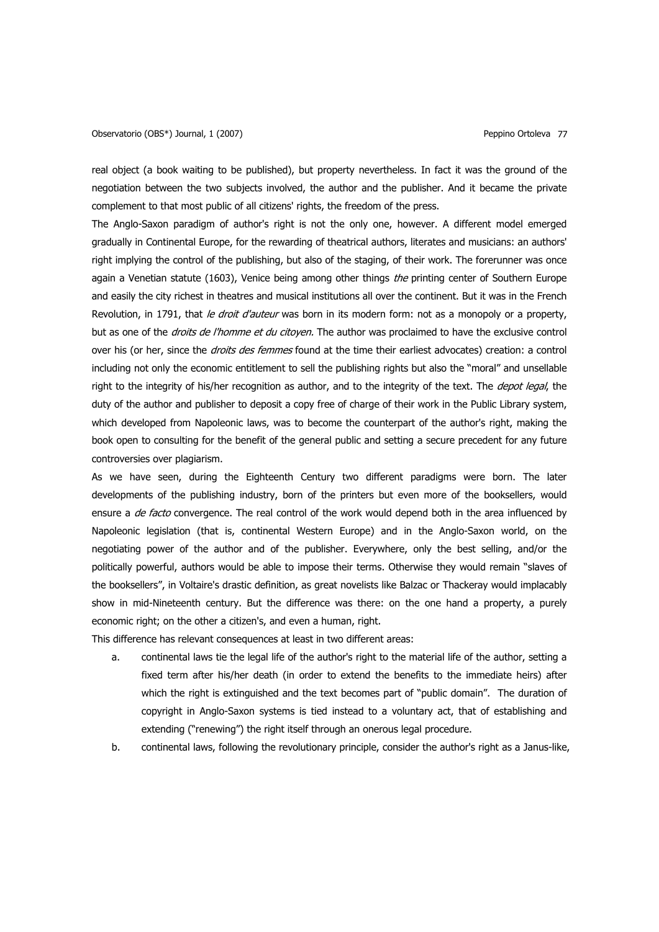real object (a book waiting to be published), but property nevertheless. In fact it was the ground of the negotiation between the two subjects involved, the author and the publisher. And it became the private complement to that most public of all citizens' rights, the freedom of the press.

The Anglo-Saxon paradigm of author's right is not the only one, however. A different model emerged gradually in Continental Europe, for the rewarding of theatrical authors, literates and musicians: an authors' right implying the control of the publishing, but also of the staging, of their work. The forerunner was once again a Venetian statute (1603), Venice being among other things the printing center of Southern Europe and easily the city richest in theatres and musical institutions all over the continent. But it was in the French Revolution, in 1791, that le droit d'auteur was born in its modern form: not as a monopoly or a property, but as one of the *droits de l'homme et du citoyen*. The author was proclaimed to have the exclusive control over his (or her, since the *droits des femmes* found at the time their earliest advocates) creation: a control including not only the economic entitlement to sell the publishing rights but also the "moral" and unsellable right to the integrity of his/her recognition as author, and to the integrity of the text. The *depot legal*, the duty of the author and publisher to deposit a copy free of charge of their work in the Public Library system, which developed from Napoleonic laws, was to become the counterpart of the author's right, making the book open to consulting for the benefit of the general public and setting a secure precedent for any future controversies over plagiarism.

As we have seen, during the Eighteenth Century two different paradigms were born. The later developments of the publishing industry, born of the printers but even more of the booksellers, would ensure a *de facto* convergence. The real control of the work would depend both in the area influenced by Napoleonic legislation (that is, continental Western Europe) and in the Anglo-Saxon world, on the negotiating power of the author and of the publisher. Everywhere, only the best selling, and/or the politically powerful, authors would be able to impose their terms. Otherwise they would remain "slaves of the booksellers", in Voltaire's drastic definition, as great novelists like Balzac or Thackeray would implacably show in mid-Nineteenth century. But the difference was there: on the one hand a property, a purely economic right; on the other a citizen's, and even a human, right.

This difference has relevant consequences at least in two different areas:

- a. continental laws tie the legal life of the author's right to the material life of the author, setting a fixed term after his/her death (in order to extend the benefits to the immediate heirs) after which the right is extinguished and the text becomes part of "public domain". The duration of copyright in Anglo-Saxon systems is tied instead to a voluntary act, that of establishing and extending ("renewing") the right itself through an onerous legal procedure.
- b. continental laws, following the revolutionary principle, consider the author's right as a Janus-like,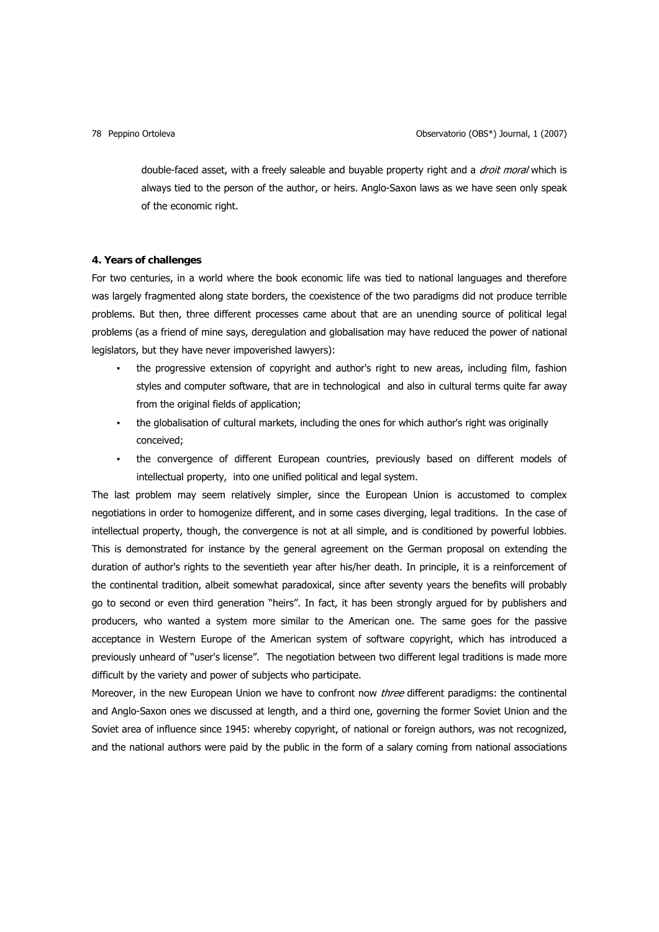double-faced asset, with a freely saleable and buyable property right and a *droit moral* which is always tied to the person of the author, or heirs. Anglo-Saxon laws as we have seen only speak of the economic right.

### **4. Years of challenges**

For two centuries, in a world where the book economic life was tied to national languages and therefore was largely fragmented along state borders, the coexistence of the two paradigms did not produce terrible problems. But then, three different processes came about that are an unending source of political legal problems (as a friend of mine says, deregulation and globalisation may have reduced the power of national legislators, but they have never impoverished lawyers):

- . the progressive extension of copyright and author's right to new areas, including film, fashion styles and computer software, that are in technological and also in cultural terms quite far away from the original fields of application;
- the globalisation of cultural markets, including the ones for which author's right was originally conceived;
- the convergence of different European countries, previously based on different models of intellectual property, into one unified political and legal system.

The last problem may seem relatively simpler, since the European Union is accustomed to complex negotiations in order to homogenize different, and in some cases diverging, legal traditions. In the case of intellectual property, though, the convergence is not at all simple, and is conditioned by powerful lobbies. This is demonstrated for instance by the general agreement on the German proposal on extending the duration of author's rights to the seventieth year after his/her death. In principle, it is a reinforcement of the continental tradition, albeit somewhat paradoxical, since after seventy years the benefits will probably go to second or even third generation "heirs". In fact, it has been strongly argued for by publishers and producers, who wanted a system more similar to the American one. The same goes for the passive acceptance in Western Europe of the American system of software copyright, which has introduced a previously unheard of "user's license". The negotiation between two different legal traditions is made more difficult by the variety and power of subjects who participate.

Moreover, in the new European Union we have to confront now *three* different paradigms: the continental and Anglo-Saxon ones we discussed at length, and a third one, governing the former Soviet Union and the Soviet area of influence since 1945: whereby copyright, of national or foreign authors, was not recognized, and the national authors were paid by the public in the form of a salary coming from national associations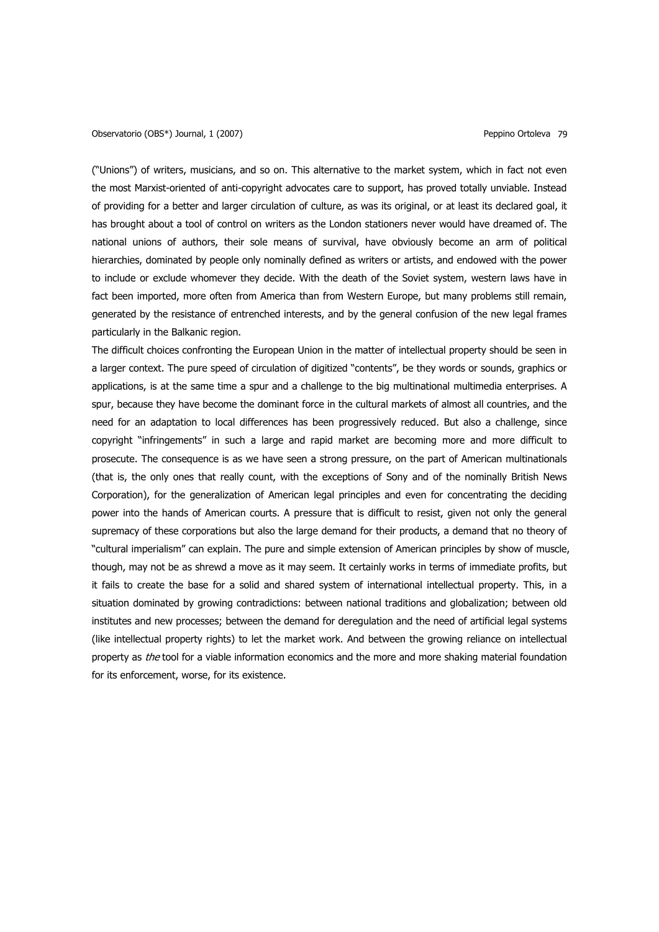("Unions") of writers, musicians, and so on. This alternative to the market system, which in fact not even the most Marxist-oriented of anti-copyright advocates care to support, has proved totally unviable. Instead of providing for a better and larger circulation of culture, as was its original, or at least its declared goal, it has brought about a tool of control on writers as the London stationers never would have dreamed of. The national unions of authors, their sole means of survival, have obviously become an arm of political hierarchies, dominated by people only nominally defined as writers or artists, and endowed with the power to include or exclude whomever they decide. With the death of the Soviet system, western laws have in fact been imported, more often from America than from Western Europe, but many problems still remain, generated by the resistance of entrenched interests, and by the general confusion of the new legal frames particularly in the Balkanic region.

The difficult choices confronting the European Union in the matter of intellectual property should be seen in a larger context. The pure speed of circulation of digitized "contents", be they words or sounds, graphics or applications, is at the same time a spur and a challenge to the big multinational multimedia enterprises. A spur, because they have become the dominant force in the cultural markets of almost all countries, and the need for an adaptation to local differences has been progressively reduced. But also a challenge, since copyright "infringements" in such a large and rapid market are becoming more and more difficult to prosecute. The consequence is as we have seen a strong pressure, on the part of American multinationals (that is, the only ones that really count, with the exceptions of Sony and of the nominally British News Corporation), for the generalization of American legal principles and even for concentrating the deciding power into the hands of American courts. A pressure that is difficult to resist, given not only the general supremacy of these corporations but also the large demand for their products, a demand that no theory of "cultural imperialism" can explain. The pure and simple extension of American principles by show of muscle, though, may not be as shrewd a move as it may seem. It certainly works in terms of immediate profits, but it fails to create the base for a solid and shared system of international intellectual property. This, in a situation dominated by growing contradictions: between national traditions and globalization; between old institutes and new processes; between the demand for deregulation and the need of artificial legal systems (like intellectual property rights) to let the market work. And between the growing reliance on intellectual property as the tool for a viable information economics and the more and more shaking material foundation for its enforcement, worse, for its existence.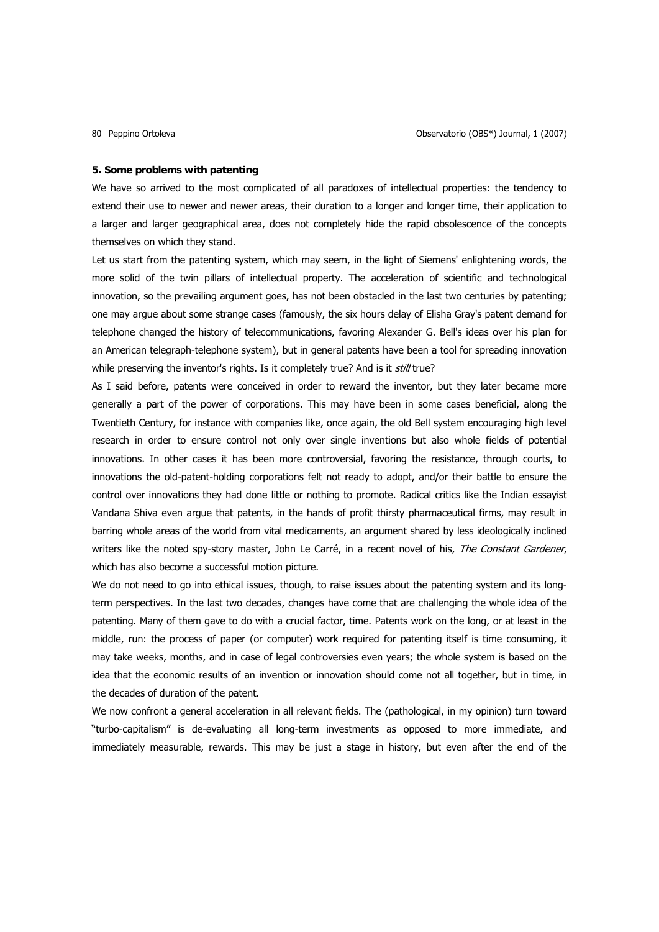# **5. Some problems with patenting**

We have so arrived to the most complicated of all paradoxes of intellectual properties: the tendency to extend their use to newer and newer areas, their duration to a longer and longer time, their application to a larger and larger geographical area, does not completely hide the rapid obsolescence of the concepts themselves on which they stand.

Let us start from the patenting system, which may seem, in the light of Siemens' enlightening words, the more solid of the twin pillars of intellectual property. The acceleration of scientific and technological innovation, so the prevailing argument goes, has not been obstacled in the last two centuries by patenting; one may argue about some strange cases (famously, the six hours delay of Elisha Gray's patent demand for telephone changed the history of telecommunications, favoring Alexander G. Bell's ideas over his plan for an American telegraph-telephone system), but in general patents have been a tool for spreading innovation while preserving the inventor's rights. Is it completely true? And is it still true?

As I said before, patents were conceived in order to reward the inventor, but they later became more generally a part of the power of corporations. This may have been in some cases beneficial, along the Twentieth Century, for instance with companies like, once again, the old Bell system encouraging high level research in order to ensure control not only over single inventions but also whole fields of potential innovations. In other cases it has been more controversial, favoring the resistance, through courts, to innovations the old-patent-holding corporations felt not ready to adopt, and/or their battle to ensure the control over innovations they had done little or nothing to promote. Radical critics like the Indian essayist Vandana Shiva even argue that patents, in the hands of profit thirsty pharmaceutical firms, may result in barring whole areas of the world from vital medicaments, an argument shared by less ideologically inclined writers like the noted spy-story master, John Le Carré, in a recent novel of his, The Constant Gardener, which has also become a successful motion picture.

We do not need to go into ethical issues, though, to raise issues about the patenting system and its longterm perspectives. In the last two decades, changes have come that are challenging the whole idea of the patenting. Many of them gave to do with a crucial factor, time. Patents work on the long, or at least in the middle, run: the process of paper (or computer) work required for patenting itself is time consuming, it may take weeks, months, and in case of legal controversies even years; the whole system is based on the idea that the economic results of an invention or innovation should come not all together, but in time, in the decades of duration of the patent.

We now confront a general acceleration in all relevant fields. The (pathological, in my opinion) turn toward "turbo-capitalism" is de-evaluating all long-term investments as opposed to more immediate, and immediately measurable, rewards. This may be just a stage in history, but even after the end of the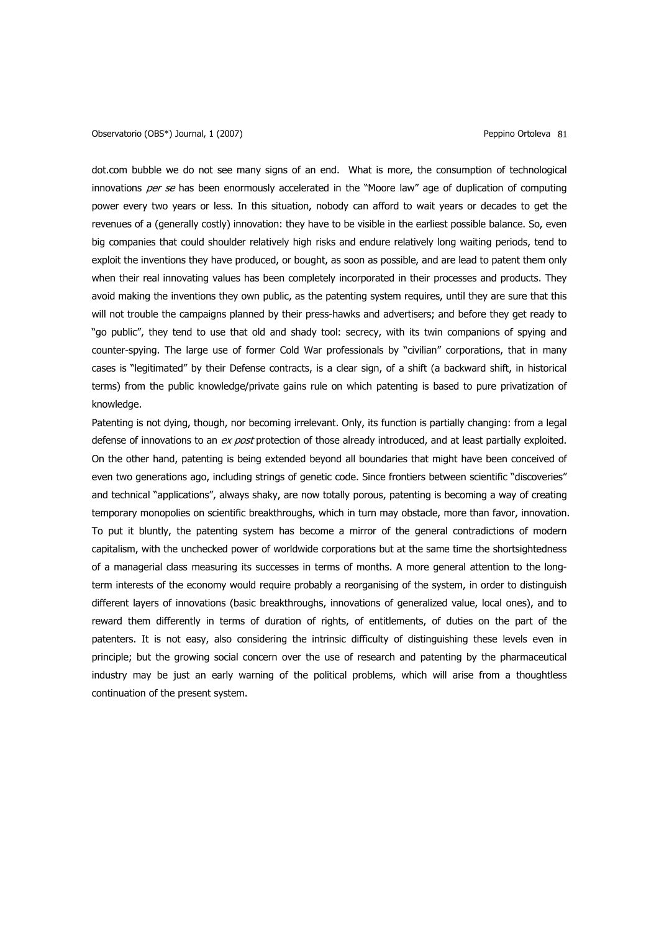dot.com bubble we do not see many signs of an end. What is more, the consumption of technological innovations per se has been enormously accelerated in the "Moore law" age of duplication of computing power every two years or less. In this situation, nobody can afford to wait years or decades to get the revenues of a (generally costly) innovation: they have to be visible in the earliest possible balance. So, even big companies that could shoulder relatively high risks and endure relatively long waiting periods, tend to exploit the inventions they have produced, or bought, as soon as possible, and are lead to patent them only when their real innovating values has been completely incorporated in their processes and products. They avoid making the inventions they own public, as the patenting system requires, until they are sure that this will not trouble the campaigns planned by their press-hawks and advertisers; and before they get ready to "go public", they tend to use that old and shady tool: secrecy, with its twin companions of spying and counter-spying. The large use of former Cold War professionals by "civilian" corporations, that in many cases is "legitimated" by their Defense contracts, is a clear sign, of a shift (a backward shift, in historical terms) from the public knowledge/private gains rule on which patenting is based to pure privatization of knowledge.

Patenting is not dying, though, nor becoming irrelevant. Only, its function is partially changing: from a legal defense of innovations to an ex post protection of those already introduced, and at least partially exploited. On the other hand, patenting is being extended beyond all boundaries that might have been conceived of even two generations ago, including strings of genetic code. Since frontiers between scientific "discoveries" and technical "applications", always shaky, are now totally porous, patenting is becoming a way of creating temporary monopolies on scientific breakthroughs, which in turn may obstacle, more than favor, innovation. To put it bluntly, the patenting system has become a mirror of the general contradictions of modern capitalism, with the unchecked power of worldwide corporations but at the same time the shortsightedness of a managerial class measuring its successes in terms of months. A more general attention to the longterm interests of the economy would require probably a reorganising of the system, in order to distinguish different layers of innovations (basic breakthroughs, innovations of generalized value, local ones), and to reward them differently in terms of duration of rights, of entitlements, of duties on the part of the patenters. It is not easy, also considering the intrinsic difficulty of distinguishing these levels even in principle; but the growing social concern over the use of research and patenting by the pharmaceutical industry may be just an early warning of the political problems, which will arise from a thoughtless continuation of the present system.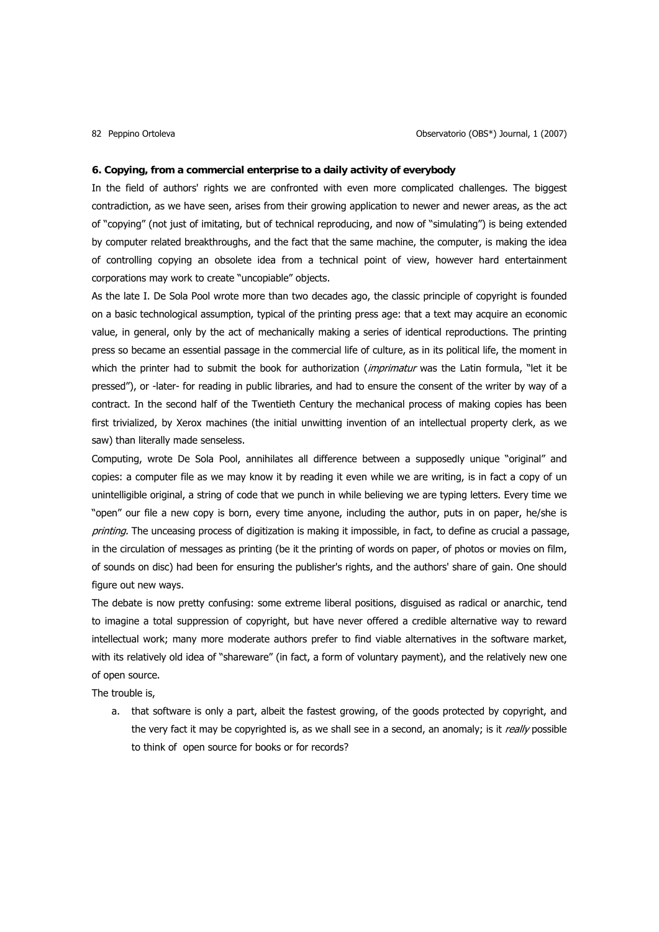### **6. Copying, from a commercial enterprise to a daily activity of everybody**

In the field of authors' rights we are confronted with even more complicated challenges. The biggest contradiction, as we have seen, arises from their growing application to newer and newer areas, as the act of "copying" (not just of imitating, but of technical reproducing, and now of "simulating") is being extended by computer related breakthroughs, and the fact that the same machine, the computer, is making the idea of controlling copying an obsolete idea from a technical point of view, however hard entertainment corporations may work to create "uncopiable" objects.

As the late I. De Sola Pool wrote more than two decades ago, the classic principle of copyright is founded on a basic technological assumption, typical of the printing press age: that a text may acquire an economic value, in general, only by the act of mechanically making a series of identical reproductions. The printing press so became an essential passage in the commercial life of culture, as in its political life, the moment in which the printer had to submit the book for authorization (imprimatur was the Latin formula, "let it be pressed"), or -later- for reading in public libraries, and had to ensure the consent of the writer by way of a contract. In the second half of the Twentieth Century the mechanical process of making copies has been first trivialized, by Xerox machines (the initial unwitting invention of an intellectual property clerk, as we saw) than literally made senseless.

Computing, wrote De Sola Pool, annihilates all difference between a supposedly unique "original" and copies: a computer file as we may know it by reading it even while we are writing, is in fact a copy of un unintelligible original, a string of code that we punch in while believing we are typing letters. Every time we "open" our file a new copy is born, every time anyone, including the author, puts in on paper, he/she is printing. The unceasing process of digitization is making it impossible, in fact, to define as crucial a passage, in the circulation of messages as printing (be it the printing of words on paper, of photos or movies on film, of sounds on disc) had been for ensuring the publisher's rights, and the authors' share of gain. One should figure out new ways.

The debate is now pretty confusing: some extreme liberal positions, disguised as radical or anarchic, tend to imagine a total suppression of copyright, but have never offered a credible alternative way to reward intellectual work; many more moderate authors prefer to find viable alternatives in the software market, with its relatively old idea of "shareware" (in fact, a form of voluntary payment), and the relatively new one of open source.

The trouble is,

a. that software is only a part, albeit the fastest growing, of the goods protected by copyright, and the very fact it may be copyrighted is, as we shall see in a second, an anomaly; is it really possible to think of open source for books or for records?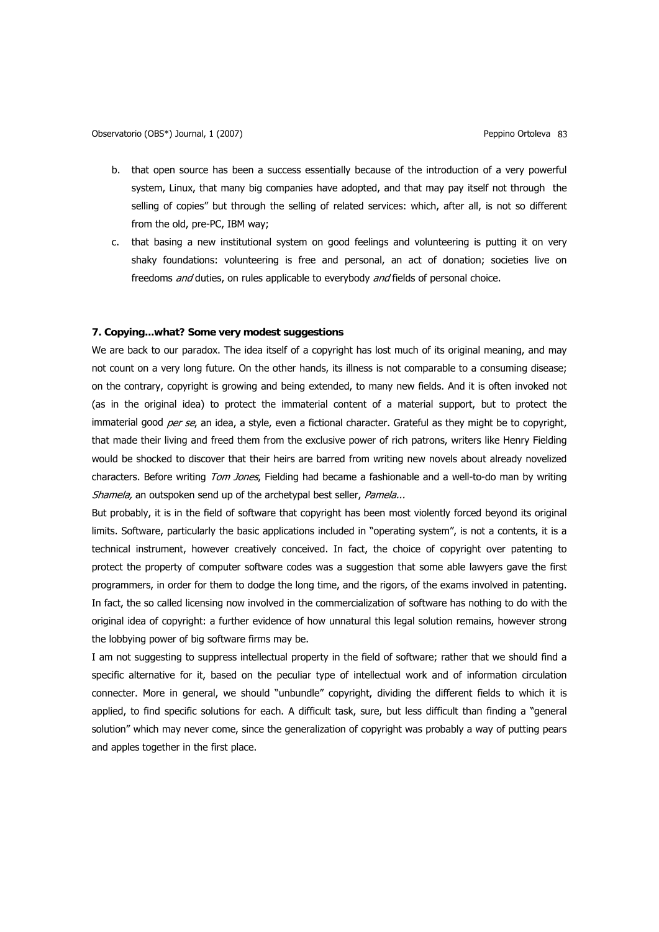- b. that open source has been a success essentially because of the introduction of a very powerful system, Linux, that many big companies have adopted, and that may pay itself not through the selling of copies" but through the selling of related services: which, after all, is not so different from the old, pre-PC, IBM way;
- c. that basing a new institutional system on good feelings and volunteering is putting it on very shaky foundations: volunteering is free and personal, an act of donation; societies live on freedoms *and* duties, on rules applicable to everybody *and* fields of personal choice.

# **7. Copying...what? Some very modest suggestions**

We are back to our paradox. The idea itself of a copyright has lost much of its original meaning, and may not count on a very long future. On the other hands, its illness is not comparable to a consuming disease; on the contrary, copyright is growing and being extended, to many new fields. And it is often invoked not (as in the original idea) to protect the immaterial content of a material support, but to protect the immaterial good per se, an idea, a style, even a fictional character. Grateful as they might be to copyright, that made their living and freed them from the exclusive power of rich patrons, writers like Henry Fielding would be shocked to discover that their heirs are barred from writing new novels about already novelized characters. Before writing Tom Jones, Fielding had became a fashionable and a well-to-do man by writing Shamela, an outspoken send up of the archetypal best seller, Pamela...

But probably, it is in the field of software that copyright has been most violently forced beyond its original limits. Software, particularly the basic applications included in "operating system", is not a contents, it is a technical instrument, however creatively conceived. In fact, the choice of copyright over patenting to protect the property of computer software codes was a suggestion that some able lawyers gave the first programmers, in order for them to dodge the long time, and the rigors, of the exams involved in patenting. In fact, the so called licensing now involved in the commercialization of software has nothing to do with the original idea of copyright: a further evidence of how unnatural this legal solution remains, however strong the lobbying power of big software firms may be.

I am not suggesting to suppress intellectual property in the field of software; rather that we should find a specific alternative for it, based on the peculiar type of intellectual work and of information circulation connecter. More in general, we should "unbundle" copyright, dividing the different fields to which it is applied, to find specific solutions for each. A difficult task, sure, but less difficult than finding a "general solution" which may never come, since the generalization of copyright was probably a way of putting pears and apples together in the first place.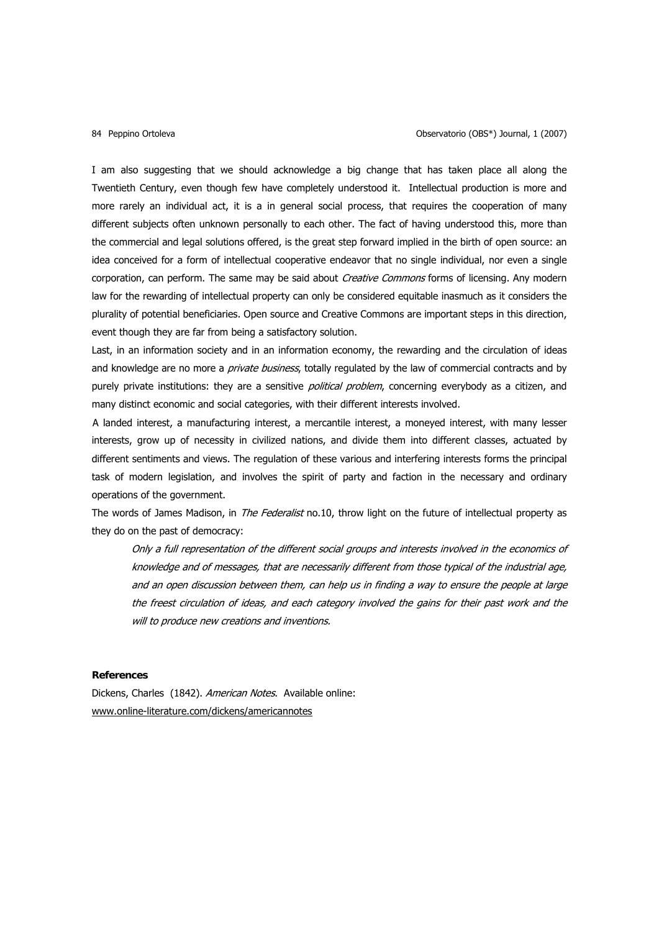I am also suggesting that we should acknowledge a big change that has taken place all along the Twentieth Century, even though few have completely understood it. Intellectual production is more and more rarely an individual act, it is a in general social process, that requires the cooperation of many different subjects often unknown personally to each other. The fact of having understood this, more than the commercial and legal solutions offered, is the great step forward implied in the birth of open source: an idea conceived for a form of intellectual cooperative endeavor that no single individual, nor even a single corporation, can perform. The same may be said about *Creative Commons* forms of licensing. Any modern law for the rewarding of intellectual property can only be considered equitable inasmuch as it considers the plurality of potential beneficiaries. Open source and Creative Commons are important steps in this direction, event though they are far from being a satisfactory solution.

Last, in an information society and in an information economy, the rewarding and the circulation of ideas and knowledge are no more a *private business*, totally regulated by the law of commercial contracts and by purely private institutions: they are a sensitive *political problem*, concerning everybody as a citizen, and many distinct economic and social categories, with their different interests involved.

A landed interest, a manufacturing interest, a mercantile interest, a moneyed interest, with many lesser interests, grow up of necessity in civilized nations, and divide them into different classes, actuated by different sentiments and views. The regulation of these various and interfering interests forms the principal task of modern legislation, and involves the spirit of party and faction in the necessary and ordinary operations of the government.

The words of James Madison, in *The Federalist* no.10, throw light on the future of intellectual property as they do on the past of democracy:

Only a full representation of the different social groups and interests involved in the economics of knowledge and of messages, that are necessarily different from those typical of the industrial age, and an open discussion between them, can help us in finding a way to ensure the people at large the freest circulation of ideas, and each category involved the gains for their past work and the will to produce new creations and inventions.

# **References**

Dickens, Charles (1842). American Notes. Available online: [www.online-literature.com/dickens/americannotes](http://www.online-literature.com/dickens/americannotes)